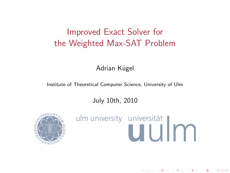# Improved Exact Solver for the Weighted Max-SAT Problem

Adrian Kügel

Institute of Theoretical Computer Science, University of Ulm

July 10th, 2010

<span id="page-0-0"></span>

# ulm university universität

④ ロチ ( 御 ) ( ④ ) ( 重 ) ( 重 )

 $2Q$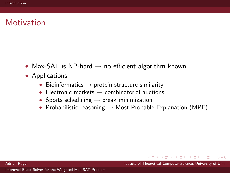# **Motivation**

- Max-SAT is NP-hard  $\rightarrow$  no efficient algorithm known
- Applications
	- Bioinformatics  $\rightarrow$  protein structure similarity
	- Electronic markets  $\rightarrow$  combinatorial auctions
	- Sports scheduling  $\rightarrow$  break minimization
	- Probabilistic reasoning  $\rightarrow$  Most Probable Explanation (MPE)

何 → → ヨ → Adrian K¨ugel Institute of Theoretical Computer Science, University of Ulm

<span id="page-1-0"></span> $\Omega$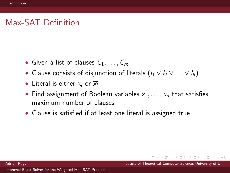# Max-SAT Definition

- Given a list of clauses  $C_1, \ldots, C_m$
- Clause consists of disjunction of literals  $(l_1 \vee l_2 \vee \ldots \vee l_k)$
- Literal is either  $x_i$  or  $\overline{x_i}$
- Find assignment of Boolean variables  $x_1, \ldots, x_n$  that satisfies maximum number of clauses
- Clause is satisfied if at least one literal is assigned true

**← イヨ → イロト** Adrian K¨ugel Institute of Theoretical Computer Science, University of Ulm

 $\Omega$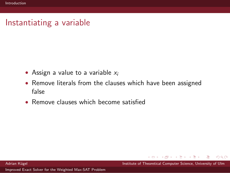#### Instantiating a variable

- Assign a value to a variable  $x_i$
- Remove literals from the clauses which have been assigned false
- Remove clauses which become satisfied

母→ ∢∃→ Adrian Kügel Institute of Theoretical Computer Science, University of Ulm

 $\Omega$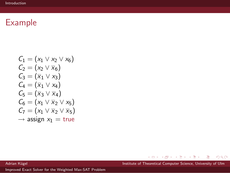$$
C_1 = (x_1 \vee x_2 \vee x_6)
$$
  
\n
$$
C_2 = (x_2 \vee \overline{x}_6)
$$
  
\n
$$
C_3 = (\overline{x}_1 \vee x_3)
$$
  
\n
$$
C_4 = (\overline{x}_1 \vee x_4)
$$
  
\n
$$
C_5 = (\overline{x}_3 \vee \overline{x}_4)
$$
  
\n
$$
C_6 = (x_1 \vee \overline{x}_2 \vee x_5)
$$
  
\n
$$
C_7 = (x_1 \vee \overline{x}_2 \vee \overline{x}_5)
$$
  
\n
$$
\rightarrow \text{assign } x_1 = \text{true}
$$

メロメ メタメ メミメ メミメー Adrian Kügel Institute of Theoretical Computer Science, University of Ulm

 $299$ 

唐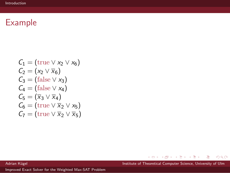$$
C_1 = (\text{true} \lor x_2 \lor x_6)
$$
  
\n
$$
C_2 = (x_2 \lor \overline{x}_6)
$$
  
\n
$$
C_3 = (\text{false} \lor x_3)
$$
  
\n
$$
C_4 = (\text{false} \lor x_4)
$$
  
\n
$$
C_5 = (\overline{x}_3 \lor \overline{x}_4)
$$
  
\n
$$
C_6 = (\text{true} \lor \overline{x}_2 \lor x_5)
$$
  
\n
$$
C_7 = (\text{true} \lor \overline{x}_2 \lor \overline{x}_5)
$$

メロメ メタメ メミメ メミメー Adrian Kügel Institute of Theoretical Computer Science, University of Ulm

 $299$ 

唐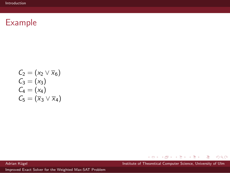$$
C_2 = (x_2 \vee \overline{x}_6)
$$
  
\n
$$
C_3 = (x_3)
$$
  
\n
$$
C_4 = (x_4)
$$
  
\n
$$
C_5 = (\overline{x}_3 \vee \overline{x}_4)
$$

メロメ メタメ メミメ メミメー  $299$ 唐

Adrian Kügel Institute of Theoretical Computer Science, University of Ulm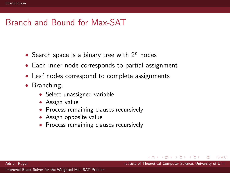# Branch and Bound for Max-SAT

- Search space is a binary tree with  $2<sup>n</sup>$  nodes
- Each inner node corresponds to partial assignment
- Leaf nodes correspond to complete assignments
- Branching:
	- Select unassigned variable
	- Assign value
	- Process remaining clauses recursively
	- Assign opposite value
	- Process remaining clauses recursively

Adrian Kügel **Institute of Theoretical Computer Science**, University of Ulm

 $\Omega$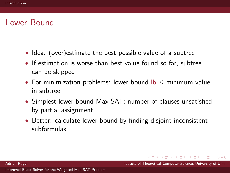#### Lower Bound

- Idea: (over) estimate the best possible value of a subtree
- If estimation is worse than best value found so far, subtree can be skipped
- For minimization problems: lower bound  $|b| <$  minimum value in subtree
- Simplest lower bound Max-SAT: number of clauses unsatisfied by partial assignment
- Better: calculate lower bound by finding disjoint inconsistent subformulas

 $\Omega$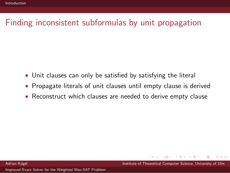# Finding inconsistent subformulas by unit propagation

- Unit clauses can only be satisfied by satisfying the literal
- Propagate literals of unit clauses until empty clause is derived
- Reconstruct which clauses are needed to derive empty clause

Adrian K¨ugel Institute of Theoretical Computer Science, University of Ulm

 $\Omega$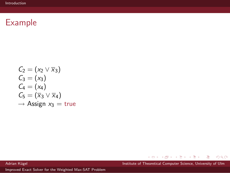$$
C_2 = (x_2 \vee \overline{x}_3)
$$
  
\n
$$
C_3 = (x_3)
$$
  
\n
$$
C_4 = (x_4)
$$
  
\n
$$
C_5 = (\overline{x}_3 \vee \overline{x}_4)
$$
  
\n
$$
\rightarrow \text{Assign } x_3 = \text{true}
$$

メロメ メタメ メミメ メミメー Adrian Kügel Institute of Theoretical Computer Science, University of Ulm

唐

 $299$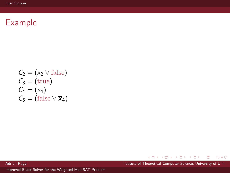$$
C_2 = (x_2 \vee \text{false})
$$
  
\n
$$
C_3 = (\text{true})
$$
  
\n
$$
C_4 = (x_4)
$$
  
\n
$$
C_5 = (\text{false} \vee \overline{x}_4)
$$

メロメ メタメ メミメ メミメー  $299$ 唐

Adrian Kügel Institute of Theoretical Computer Science, University of Ulm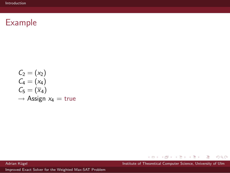$$
C_2 = (x_2)
$$
  
\n
$$
C_4 = (x_4)
$$
  
\n
$$
C_5 = (\overline{x}_4)
$$
  
\n
$$
\rightarrow \text{Assign } x_4 = \text{true}
$$

メロメ メタメ メミメ メミメー  $299$ 唐

Adrian Kügel Institute of Theoretical Computer Science, University of Ulm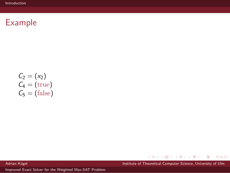$$
C_2 = (x_2)
$$
  
\n
$$
C_4 = (true)
$$
  
\n
$$
C_5 = (false)
$$

メロメ メタメ メミメ メミメー  $299$ 唐

Adrian Kügel Institute of Theoretical Computer Science, University of Ulm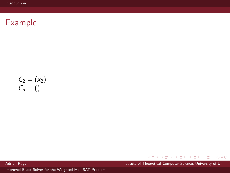$$
\begin{array}{l} C_2=(x_2) \\ C_5=()\end{array}
$$

メロメ メタメ メミメ メミメー  $299$ 唐

Adrian Kügel Institute of Theoretical Computer Science, University of Ulm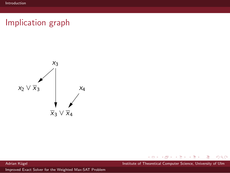# Implication graph



メタメメ ミメメ ミメ Adrian Kügel Institute of Theoretical Computer Science, University of Ulm

4 0 F

唐

 $299$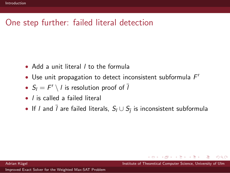# One step further: failed literal detection

- Add a unit literal *I* to the formula
- Use unit propagation to detect inconsistent subformula  $F'$
- $S_l = F' \setminus l$  is resolution proof of  $\overline{l}$
- *l* is called a failed literal
- If  $l$  and  $l$  are failed literals,  $S_l \cup S_{\overline{l}}$  is inconsistent subformula

Adrian K¨ugel Institute of Theoretical Computer Science, University of Ulm

 $\Omega$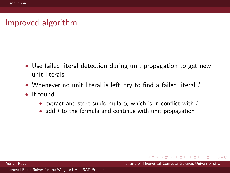# Improved algorithm

- Use failed literal detection during unit propagation to get new unit literals
- Whenever no unit literal is left, try to find a failed literal I
- If found
	- extract and store subformula  $S_l$  which is in conflict with  $l$
	- add  $\overline{l}$  to the formula and continue with unit propagation

 $\Omega$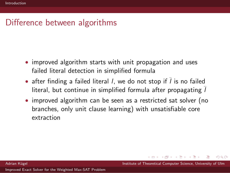# Difference between algorithms

- improved algorithm starts with unit propagation and uses failed literal detection in simplified formula
- after finding a failed literal *l*, we do not stop if  $\overline{l}$  is no failed literal, but continue in simplified formula after propagating  $\overline{l}$
- improved algorithm can be seen as a restricted sat solver (no branches, only unit clause learning) with unsatisfiable core extraction

 $\Omega$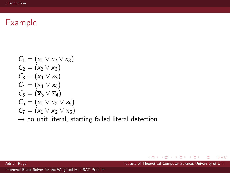$$
C_1 = (x_1 \vee x_2 \vee x_3)
$$
  
\n
$$
C_2 = (x_2 \vee \overline{x}_3)
$$
  
\n
$$
C_3 = (\overline{x}_1 \vee x_3)
$$
  
\n
$$
C_4 = (\overline{x}_1 \vee x_4)
$$
  
\n
$$
C_5 = (\overline{x}_3 \vee \overline{x}_4)
$$
  
\n
$$
C_6 = (x_1 \vee \overline{x}_2 \vee x_5)
$$
  
\n
$$
C_7 = (x_1 \vee \overline{x}_2 \vee \overline{x}_5)
$$

 $\rightarrow$  no unit literal, starting failed literal detection

メロメ メ御う メミメ メミメー Adrian Kügel Institute of Theoretical Computer Science, University of Ulm

唐

 $299$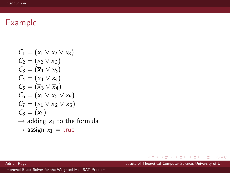$$
C_1 = (x_1 \vee x_2 \vee x_3)
$$
  
\n
$$
C_2 = (x_2 \vee \overline{x}_3)
$$
  
\n
$$
C_3 = (\overline{x}_1 \vee x_3)
$$
  
\n
$$
C_4 = (\overline{x}_1 \vee x_4)
$$
  
\n
$$
C_5 = (\overline{x}_3 \vee \overline{x}_4)
$$
  
\n
$$
C_6 = (x_1 \vee \overline{x}_2 \vee x_5)
$$
  
\n
$$
C_7 = (x_1 \vee \overline{x}_2 \vee \overline{x}_5)
$$
  
\n
$$
C_8 = (x_1)
$$
  
\n
$$
\rightarrow \text{adding } x_1 \text{ to the formula}
$$
  
\n
$$
\rightarrow \text{series } x_1 = +x_1 =
$$

 $\rightarrow$  assign  $x_1 = \text{true}$ 

メロメ メタメ メミメ メミメー Adrian Kügel Institute of Theoretical Computer Science, University of Ulm

€.

 $299$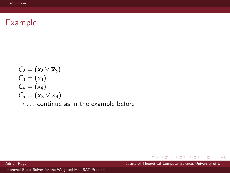$$
C_2 = (x_2 \vee \overline{x}_3)
$$
  
\n
$$
C_3 = (x_3)
$$
  
\n
$$
C_4 = (x_4)
$$
  
\n
$$
C_5 = (\overline{x}_3 \vee \overline{x}_4)
$$
  
\n
$$
\rightarrow \dots \text{ continue as in the example before}
$$

メロメ メタメ メミメ メミメー Adrian Kügel Institute of Theoretical Computer Science, University of Ulm

 $299$ 

€.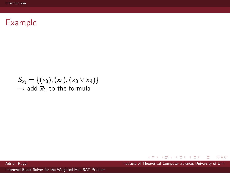$$
S_{x_1} = \{ (x_3), (x_4), (\overline{x}_3 \vee \overline{x}_4) \}
$$
  
\n
$$
\rightarrow \text{add } \overline{x}_1 \text{ to the formula}
$$

メロメ メタメ メミメ メミメー  $299$ 唐

Adrian Kügel Institute of Theoretical Computer Science, University of Ulm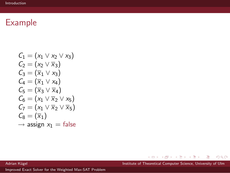$$
C_1 = (x_1 \vee x_2 \vee x_3)
$$
  
\n
$$
C_2 = (x_2 \vee \overline{x}_3)
$$
  
\n
$$
C_3 = (\overline{x}_1 \vee x_3)
$$
  
\n
$$
C_4 = (\overline{x}_1 \vee x_4)
$$
  
\n
$$
C_5 = (\overline{x}_3 \vee \overline{x}_4)
$$
  
\n
$$
C_6 = (x_1 \vee \overline{x}_2 \vee x_5)
$$
  
\n
$$
C_7 = (x_1 \vee \overline{x}_2 \vee \overline{x}_5)
$$
  
\n
$$
C_8 = (\overline{x}_1)
$$
  
\n
$$
\rightarrow \text{assign } x_1 = \text{false}
$$

メロメ メタメ メミメ メミメー Adrian Kügel Institute of Theoretical Computer Science, University of Ulm

 $299$ 

唐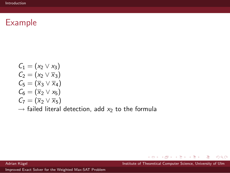$$
C_1 = (x_2 \vee x_3)
$$
  
\n
$$
C_2 = (x_2 \vee \overline{x}_3)
$$
  
\n
$$
C_5 = (\overline{x}_3 \vee \overline{x}_4)
$$
  
\n
$$
C_6 = (\overline{x}_2 \vee x_5)
$$
  
\n
$$
C_7 = (\overline{x}_2 \vee \overline{x}_5)
$$
  
\n
$$
\rightarrow \text{ failed literal detection, add } x_2 \text{ to the formula}
$$

メロメ メタメ メミメ メミメー  $299$ 唐

Adrian Kügel Institute of Theoretical Computer Science, University of Ulm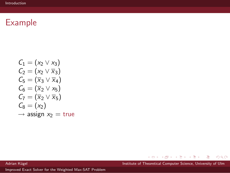$$
C_1 = (x_2 \vee x_3)
$$
  
\n
$$
C_2 = (x_2 \vee \overline{x}_3)
$$
  
\n
$$
C_5 = (\overline{x}_3 \vee \overline{x}_4)
$$
  
\n
$$
C_6 = (\overline{x}_2 \vee x_5)
$$
  
\n
$$
C_7 = (\overline{x}_2 \vee \overline{x}_5)
$$
  
\n
$$
C_8 = (x_2)
$$
  
\n
$$
\rightarrow \text{assign } x_2 = \text{true}
$$

メロメ メタメ メミメ メミメー Adrian Kügel Institute of Theoretical Computer Science, University of Ulm

 $299$ 

唐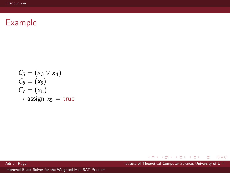$$
C_5 = (\overline{x}_3 \vee \overline{x}_4)
$$
  
\n
$$
C_6 = (x_5)
$$
  
\n
$$
C_7 = (\overline{x}_5)
$$
  
\n
$$
\rightarrow \text{assign } x_5 = \text{true}
$$

メロメ メタメ メミメ メミメー  $299$ 唐

Adrian Kügel Institute of Theoretical Computer Science, University of Ulm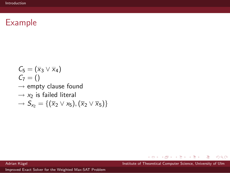$C_5 = (\overline{x}_3 \vee \overline{x}_4)$  $C_7 = ()$  $\rightarrow$  empty clause found  $\rightarrow x_2$  is failed literal  $\rightarrow$   $S_{x_2}$  = { $(\overline{x}_2 \vee x_5),(\overline{x}_2 \vee \overline{x}_5)$ }

Adrian Kügel Institute of Theoretical Computer Science, University of Ulm

 $\langle \neg \Box \rangle$   $\rightarrow$   $\langle \Box \rangle$   $\rightarrow$   $\langle \Box \rangle$   $\rightarrow$ 

画

 $\Omega$ 

 $\leftarrow$   $\Box$   $\rightarrow$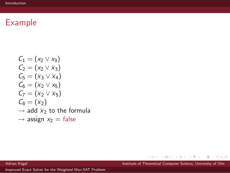$$
C_1 = (x_2 \vee x_3)
$$
  
\n
$$
C_2 = (x_2 \vee \overline{x}_3)
$$
  
\n
$$
C_5 = (\overline{x}_3 \vee \overline{x}_4)
$$
  
\n
$$
C_6 = (\overline{x}_2 \vee x_5)
$$
  
\n
$$
C_7 = (\overline{x}_2 \vee \overline{x}_5)
$$
  
\n
$$
C_8 = (\overline{x}_2)
$$
  
\n
$$
\rightarrow \text{ add } \overline{x}_2 \text{ to the formula}
$$
  
\n
$$
\rightarrow \text{assign } x_2 = \text{false}
$$

メロメ メタメ メミメ メミメー Adrian Kügel Institute of Theoretical Computer Science, University of Ulm

€.

 $299$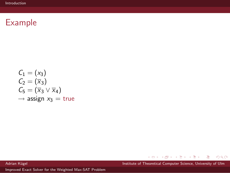$$
C_1 = (x_3)
$$
  
\n
$$
C_2 = (\overline{x}_3)
$$
  
\n
$$
C_5 = (\overline{x}_3 \vee \overline{x}_4)
$$
  
\n
$$
\rightarrow \text{assign } x_3 = \text{true}
$$

メロメ メタメ メミメ メミメー Adrian Kügel Institute of Theoretical Computer Science, University of Ulm

 $299$ 

唐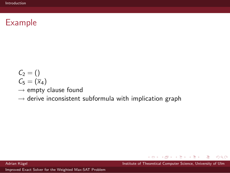- $C_2 = ()$  $C_5 = (\overline{x}_4)$
- $\rightarrow$  empty clause found
- $\rightarrow$  derive inconsistent subformula with implication graph

**← 同 → → 三 →** Adrian Kügel Institute of Theoretical Computer Science, University of Ulm

 $\Omega$ 

 $\leftarrow$   $\Box$   $\rightarrow$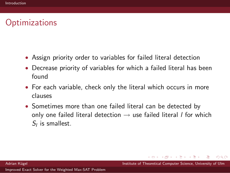### **Optimizations**

- Assign priority order to variables for failed literal detection
- Decrease priority of variables for which a failed literal has been found
- For each variable, check only the literal which occurs in more clauses
- Sometimes more than one failed literal can be detected by only one failed literal detection  $\rightarrow$  use failed literal *l* for which  $S_l$  is smallest.

 $\Omega$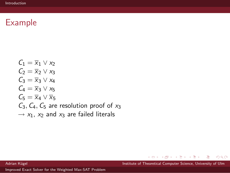$C_1 = \overline{x}_1 \vee x_2$  $C_2 = \overline{x}_2 \vee x_3$  $C_3 = \overline{x}_3 \vee x_4$  $C_4 = \overline{X}_3 \vee X_5$  $C_5 = \overline{X}_4 \vee \overline{X}_5$  $C_3$ ,  $C_4$ ,  $C_5$  are resolution proof of  $x_3$  $\rightarrow$  x<sub>1</sub>, x<sub>2</sub> and x<sub>3</sub> are failed literals

 $\mathbf{p}$ Adrian Kügel Institute of Theoretical Computer Science, University of Ulm

ヨト

 $\Omega$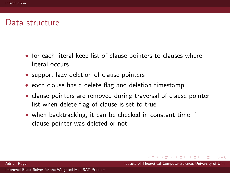#### Data structure

- for each literal keep list of clause pointers to clauses where literal occurs
- support lazy deletion of clause pointers
- each clause has a delete flag and deletion timestamp
- clause pointers are removed during traversal of clause pointer list when delete flag of clause is set to true
- when backtracking, it can be checked in constant time if clause pointer was deleted or not

 $\Omega$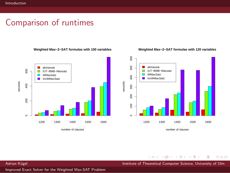0 200 - 1<br>0 200 - 1<br>0 200 - 1

 $\frac{8}{2}$ 

 $400$ 

200

 $\circ$ 

seconds

#### Comparison of runtimes

akmaxsat

WMaxSatz **IncWMaxSatz** 

П

**Weighted Max−2−SAT formulas with 100 variables**

#### **Weighted Max−2−SAT formulas with 120 variables**



[Improved Exact Solver for the Weighted Max-SAT Problem](#page-0-0)

 $\,$   $\,$  $\mathcal{A}$ Adrian Kügel Institute of Theoretical Computer Science, University of Ulm

 $\leftarrow$   $\Box$   $\rightarrow$ 

 $\Rightarrow$ 

 $\prec$ Þ  $299$ 

画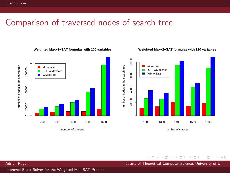#### Comparison of traversed nodes of search tree

#### **Weighted Max−2−SAT formulas with 100 variables**

#### **Weighted Max−2−SAT formulas with 120 variables**





number of clauses

∍

 $299$ 

Adrian Kügel Institute of Theoretical Computer Science, University of Ulm

 $\leftarrow$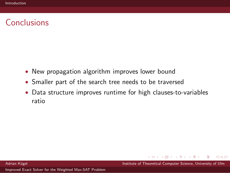# Conclusions

- New propagation algorithm improves lower bound
- Smaller part of the search tree needs to be traversed
- Data structure improves runtime for high clauses-to-variables ratio

 $\rightarrow$   $\equiv$   $\rightarrow$ 

 $\Omega$